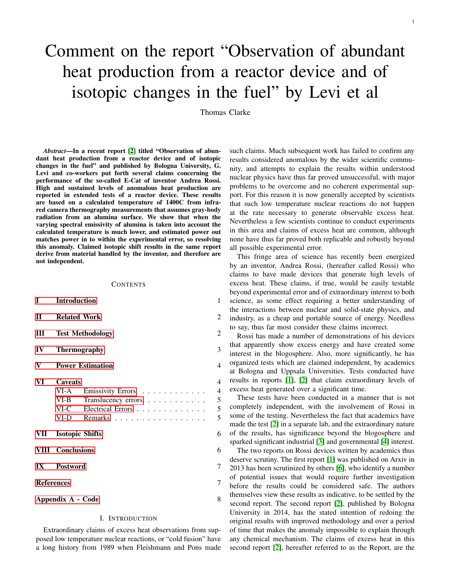# Comment on the report "Observation of abundant heat production from a reactor device and of isotopic changes in the fuel" by Levi et al

Thomas Clarke

*Abstract*—In a recent report [\[2\]](#page-6-0) titled "Observation of abundant heat production from a reactor device and of isotopic changes in the fuel" and published by Bologna University, G. Levi and co-workers put forth several claims concerning the performance of the so-called E-Cat of inventor Andrea Rossi. High and sustained levels of anomalous heat production are reported in extended tests of a reactor device. These results are based on a calculated temperature of 1400C from infrared camera thermography measurements that assumes gray-body radiation from an alumina surface. We show that when the varying spectral emissivity of alumina is taken into account the calculated temperature is much lower, and estimated power out matches power in to within the experimental error, so resolving this anomaly. Claimed isotopic shift results in the same report derive from material handled by the inventor, and therefore are not independent.

#### **CONTENTS**

| L                       | <b>Introduction</b>                                  |                                                                          |                       |  |
|-------------------------|------------------------------------------------------|--------------------------------------------------------------------------|-----------------------|--|
| $\Pi$                   | <b>Related Work</b>                                  |                                                                          |                       |  |
| Ш                       | <b>Test Methodology</b>                              |                                                                          |                       |  |
| IV                      | <b>Thermography</b>                                  |                                                                          |                       |  |
| V                       |                                                      | <b>Power Estimation</b>                                                  | 4                     |  |
| VI                      | <b>Caveats</b><br>VI-A<br>$VI-B$<br>$VI-C$<br>$VI-D$ | Emissivity Errors<br>Translucency errors<br>Electrical Errors<br>Remarks | 4<br>4<br>5<br>5<br>5 |  |
| VII                     | <b>Isotopic Shifts</b>                               |                                                                          | 6                     |  |
|                         | <b>VIII</b> Conclusions                              |                                                                          | 6                     |  |
| $\mathbf{I} \mathbf{X}$ | <b>Postword</b>                                      |                                                                          | 7                     |  |
| <b>References</b>       |                                                      |                                                                          |                       |  |
| Appendix A - Code       |                                                      |                                                                          |                       |  |

# I. INTRODUCTION

<span id="page-0-0"></span>Extraordinary claims of excess heat observations from supposed low temperature nuclear reactions, or "cold fusion" have a long history from 1989 when Fleishmann and Pons made such claims. Much subsequent work has failed to confirm any results considered anomalous by the wider scientific community, and attempts to explain the results within understood nuclear physics have thus far proved unsuccessful, with major problems to be overcome and no coherent experimental support. For this reason it is now generally accepted by scientists that such low temperature nuclear reactions do not happen at the rate necessary to generate observable excess heat. Nevertheless a few scientists continue to conduct experiments in this area and claims of excess heat are common, although none have thus far proved both replicable and robustly beyond all possible experimental error.

This fringe area of science has recently been energized by an inventor, Andrea Rossi, (hereafter called Rossi) who claims to have made devices that generate high levels of excess heat. These claims, if true, would be easily testable beyond experimental error and of extraordinary interest to both science, as some effect requiring a better understanding of the interactions between nuclear and solid-state physics, and industry, as a cheap and portable source of energy. Needless to say, thus far most consider these claims incorrect.

Rossi has made a number of demonstrations of his devices that apparently show excess energy and have created some interest in the blogosphere. Also, more significantly, he has organized tests which are claimed independent, by academics at Bologna and Uppsala Universities. Tests conducted have results in reports [\[1\]](#page-6-3), [\[2\]](#page-6-0) that claim extraordinary levels of excess heat generated over a significant time.

These tests have been conducted in a manner that is not completely independent, with the involvement of Rossi in some of the testing. Nevertheless the fact that academics have made the test [\[2\]](#page-6-0) in a separate lab, and the extraordinary nature of the results, has significance beyond the blogosphere and sparked significant industrial [\[3\]](#page-6-4) and governmental [\[4\]](#page-6-5) interest.

The two reports on Rossi devices written by academics thus deserve scrutiny. The first report [\[1\]](#page-6-3) was published on Arxiv in 2013 has been scrutinized by others [\[6\]](#page-6-6), who identify a number of potential issues that would require further investigation before the results could be considered safe. The authors themselves view these results as indicative, to be settled by the second report. The second report [\[2\]](#page-6-0), published by Bologna University in 2014, has the stated intention of redoing the original results with improved methodology and over a period of time that makes the anomaly impossible to explain through any chemical mechanism. The claims of excess heat in this second report [\[2\]](#page-6-0), hereafter referred to as the Report, are the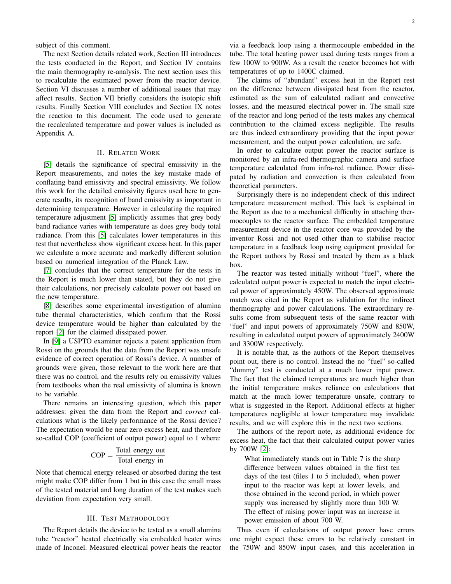subject of this comment.

The next Section details related work, Section III introduces the tests conducted in the Report, and Section IV contains the main thermography re-analysis. The next section uses this to recalculate the estimated power from the reactor device. Section VI discusses a number of additional issues that may affect results. Section VII briefly considers the isotopic shift results. Finally Section VIII concludes and Section IX notes the reaction to this document. The code used to generate the recalculated temperature and power values is included as Appendix A.

#### II. RELATED WORK

<span id="page-1-0"></span>[\[5\]](#page-6-7) details the significance of spectral emissivity in the Report measurements, and notes the key mistake made of conflating band emissivity and spectral emissivity. We follow this work for the detailed emissivity figures used here to generate results, its recognition of band emissivity as important in determining temperature. However in calculating the required temperature adjustment [\[5\]](#page-6-7) implicitly assumes that grey body band radiance varies with temperature as does grey body total radiance. From this [\[5\]](#page-6-7) calculates lower temperatures in this test that nevertheless show significant excess heat. In this paper we calculate a more accurate and markedly different solution based on numerical integration of the Planck Law.

[\[7\]](#page-6-8) concludes that the correct temperature for the tests in the Report is much lower than stated, but they do not give their calculations, nor precisely calculate power out based on the new temperature.

[\[8\]](#page-6-9) describes some experimental investigation of alumina tube thermal characteristics, which confirm that the Rossi device temperature would be higher than calculated by the report [\[2\]](#page-6-0) for the claimed dissipated power.

In [\[9\]](#page-6-10) a USPTO examiner rejects a patent application from Rossi on the grounds that the data from the Report was unsafe evidence of correct operation of Rossi's device. A number of grounds were given, those relevant to the work here are that there was no control, and the results rely on emissivity values from textbooks when the real emissivity of alumina is known to be variable.

There remains an interesting question, which this paper addresses: given the data from the Report and *correct* calculations what is the likely performance of the Rossi device? The expectation would be near zero excess heat, and therefore so-called COP (coefficient of output power) equal to 1 where:

$$
COP = \frac{\text{Total energy out}}{\text{Total energy in}}
$$

Note that chemical energy released or absorbed during the test might make COP differ from 1 but in this case the small mass of the tested material and long duration of the test makes such deviation from expectation very small.

#### III. TEST METHODOLOGY

<span id="page-1-1"></span>The Report details the device to be tested as a small alumina tube "reactor" heated electrically via embedded heater wires made of Inconel. Measured electrical power heats the reactor

via a feedback loop using a thermocouple embedded in the tube. The total heating power used during tests ranges from a few 100W to 900W. As a result the reactor becomes hot with temperatures of up to 1400C claimed.

The claims of "abundant" excess heat in the Report rest on the difference between dissipated heat from the reactor, estimated as the sum of calculated radiant and convective losses, and the measured electrical power in. The small size of the reactor and long period of the tests makes any chemical contribution to the claimed excess negligible. The results are thus indeed extraordinary providing that the input power measurement, and the output power calculation, are safe.

In order to calculate output power the reactor surface is monitored by an infra-red thermographic camera and surface temperature calculated from infra-red radiance. Power dissipated by radiation and convection is then calculated from theoretical parameters.

Surprisingly there is no independent check of this indirect temperature measurement method. This lack is explained in the Report as due to a mechanical difficulty in attaching thermocouples to the reactor surface. The embedded temperature measurement device in the reactor core was provided by the inventor Rossi and not used other than to stabilise reactor temperature in a feedback loop using equipment provided for the Report authors by Rossi and treated by them as a black box.

The reactor was tested initially without "fuel", where the calculated output power is expected to match the input electrical power of approximately 450W. The observed approximate match was cited in the Report as validation for the indirect thermography and power calculations. The extraordinary results come from subsequent tests of the same reactor with "fuel" and input powers of approximately 750W and 850W, resulting in calculated output powers of approximately 2400W and 3300W respectively.

It is notable that, as the authors of the Report themselves point out, there is no control. Instead the no "fuel" so-called "dummy" test is conducted at a much lower input power. The fact that the claimed temperatures are much higher than the initial temperature makes reliance on calculations that match at the much lower temperature unsafe, contrary to what is suggested in the Report. Additional effects at higher temperatures negligible at lower temperature may invalidate results, and we will explore this in the next two sections.

The authors of the report note, as additional evidence for excess heat, the fact that their calculated output power varies by 700W [\[2\]](#page-6-0):

What immediately stands out in Table 7 is the sharp difference between values obtained in the first ten days of the test (files 1 to 5 included), when power input to the reactor was kept at lower levels, and those obtained in the second period, in which power supply was increased by slightly more than 100 W. The effect of raising power input was an increase in power emission of about 700 W.

Thus even if calculations of output power have errors one might expect these errors to be relatively constant in the 750W and 850W input cases, and this acceleration in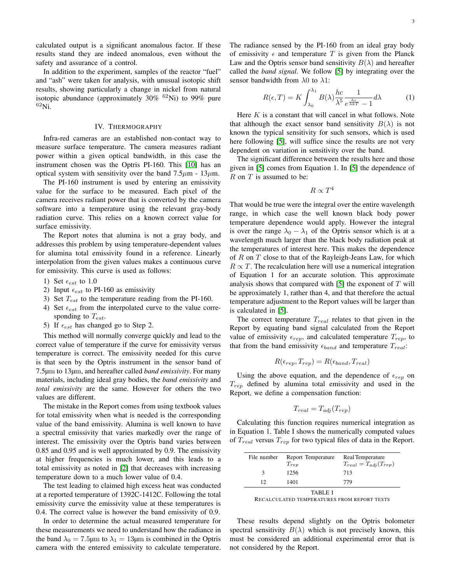calculated output is a significant anomalous factor. If these results stand they are indeed anomalous, even without the safety and assurance of a control.

In addition to the experiment, samples of the reactor "fuel" and "ash" were taken for analysis, with unusual isotopic shift results, showing particularly a change in nickel from natural isotopic abundance (approximately  $30\%$  <sup>62</sup>Ni) to 99% pure  $62$ Ni.

#### IV. THERMOGRAPHY

<span id="page-2-0"></span>Infra-red cameras are an established non-contact way to measure surface temperature. The camera measures radiant power within a given optical bandwidth, in this case the instrument chosen was the Optris PI-160. This [\[10\]](#page-6-11) has an optical system with sensitivity over the band  $7.5\mu$ m - 13 $\mu$ m.

The PI-160 instrument is used by entering an emissivity value for the surface to be measured. Each pixel of the camera receives radiant power that is converted by the camera software into a temperature using the relevant gray-body radiation curve. This relies on a known correct value for surface emissivity.

The Report notes that alumina is not a gray body, and addresses this problem by using temperature-dependent values for alumina total emissivity found in a reference. Linearly interpolation from the given values makes a continuous curve for emissivity. This curve is used as follows:

- 1) Set  $\epsilon_{est}$  to 1.0
- 2) Input  $\epsilon_{est}$  to PI-160 as emissivity
- 3) Set  $T_{est}$  to the temperature reading from the PI-160.
- 4) Set  $\epsilon_{est}$  from the interpolated curve to the value corresponding to  $T_{est}$ .
- 5) If  $\epsilon_{est}$  has changed go to Step 2.

This method will normally converge quickly and lead to the correct value of temperature if the curve for emissivity versus temperature is correct. The emissivity needed for this curve is that seen by the Optris instrument in the sensor band of 7.5µm to 13µm, and hereafter called *band emissivity*. For many materials, including ideal gray bodies, the *band emissivity* and *total emissivity* are the same. However for others the two values are different.

The mistake in the Report comes from using textbook values for total emissivity when what is needed is the corresponding value of the band emissivity. Alumina is well known to have a spectral emissivity that varies markedly over the range of interest. The emissivity over the Optris band varies between 0.85 and 0.95 and is well approximated by 0.9. The emissivity at higher frequencies is much lower, and this leads to a total emissivity as noted in [\[2\]](#page-6-0) that decreases with increasing temperature down to a much lower value of 0.4.

The test leading to claimed high excess heat was conducted at a reported temperature of 1392C-1412C. Following the total emissivity curve the emissivity value at these temperatures is 0.4. The correct value is however the band emissivity of 0.9.

In order to determine the actual measured temperature for these measurements we need to understand how the radiance in the band  $\lambda_0 = 7.5 \mu m$  to  $\lambda_1 = 13 \mu m$  is combined in the Optris camera with the entered emissivity to calculate temperature. The radiance sensed by the PI-160 from an ideal gray body of emissivity  $\epsilon$  and temperature T is given from the Planck Law and the Optris sensor band sensitivity  $B(\lambda)$  and hereafter called the *band signal*. We follow [\[5\]](#page-6-7) by integrating over the sensor bandwidth from  $\lambda$ 0 to  $\lambda$ 1:

$$
R(\epsilon, T) = K \int_{\lambda_0}^{\lambda_1} B(\lambda) \frac{hc}{\lambda^5} \frac{1}{e^{\frac{hc}{\lambda kT}} - 1} d\lambda \tag{1}
$$

Here  $K$  is a constant that will cancel in what follows. Note that although the exact sensor band sensitivity  $B(\lambda)$  is not known the typical sensitivity for such sensors, which is used here following [\[5\]](#page-6-7), will suffice since the results are not very dependent on variation in sensitivity over the band.

The significant difference between the results here and those given in [\[5\]](#page-6-7) comes from Equation 1. In [\[5\]](#page-6-7) the dependence of  $R$  on  $T$  is assumed to be:

$$
R \propto T^4
$$

That would be true were the integral over the entire wavelength range, in which case the well known black body power temperature dependence would apply. However the integral is over the range  $\lambda_0 - \lambda_1$  of the Optris sensor which is at a wavelength much larger than the black body radiation peak at the temperatures of interest here. This makes the dependence of  $R$  on  $T$  close to that of the Rayleigh-Jeans Law, for which  $R \propto T$ . The recalculation here will use a numerical integration of Equation 1 for an accurate solution. This approximate analysis shows that compared with  $[5]$  the exponent of  $T$  will be approximately 1, rather than 4, and that therefore the actual temperature adjustment to the Report values will be larger than is calculated in [\[5\]](#page-6-7).

The correct temperature  $T_{real}$  relates to that given in the Report by equating band signal calculated from the Report value of emissivity  $\epsilon_{rep}$ , and calculated temperature  $T_{rep}$ , to that from the band emissivity  $\epsilon_{band}$  and temperature  $T_{real}$ :

$$
R(\epsilon_{rep}, T_{rep}) = R(\epsilon_{band}, T_{real})
$$

Using the above equation, and the dependence of  $\epsilon_{rep}$  on  $T_{rep}$  defined by alumina total emissivity and used in the Report, we define a compensation function:

$$
T_{real} = T_{adj}(T_{rep})
$$

Calculating this function requires numerical integration as in Equation 1. Table I shows the numerically computed values of  $T_{real}$  versus  $T_{rep}$  for two typical files of data in the Report.

| File number | Report Temperature | Real Temperature              |  |  |  |  |
|-------------|--------------------|-------------------------------|--|--|--|--|
|             | $T_{rep}$          | $T_{real} = T_{adj}(T_{rep})$ |  |  |  |  |
| 3           | 1256               | 713                           |  |  |  |  |
| 12          | 1401               | 779                           |  |  |  |  |
| TABLE I     |                    |                               |  |  |  |  |

These results depend slightly on the Optris bolometer spectral sensitivity  $B(\lambda)$  which is not precisely known, this must be considered an additional experimental error that is not considered by the Report.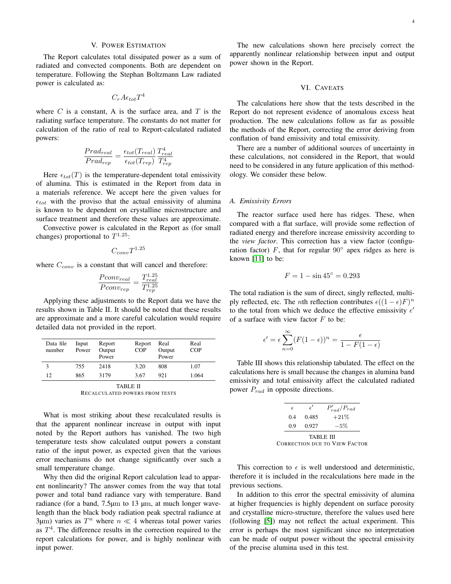<span id="page-3-0"></span>The Report calculates total dissipated power as a sum of radiated and convected components. Both are dependent on temperature. Following the Stephan Boltzmann Law radiated power is calculated as:

$$
C_r A \epsilon_{tot} T^4
$$

where  $C$  is a constant, A is the surface area, and  $T$  is the radiating surface temperature. The constants do not matter for calculation of the ratio of real to Report-calculated radiated powers:

$$
\frac{Prad_{real}}{Prad_{rep}} = \frac{\epsilon_{tot}(T_{real})}{\epsilon_{tot}(T_{rep})} \frac{T_{real}^4}{T_{rep}^4}
$$

Here  $\epsilon_{tot}(T)$  is the temperature-dependent total emissivity of alumina. This is estimated in the Report from data in a materials reference. We accept here the given values for  $\epsilon_{tot}$  with the proviso that the actual emissivity of alumina is known to be dependent on crystalline microstructure and surface treatment and therefore these values are approximate.

Convective power is calculated in the Report as (for small changes) proportional to  $T^{1.25}$ :

$$
C_{conv}T^{1.25}
$$

where  $C_{conv}$  is a constant that will cancel and therefore:

$$
\frac{Pconv_{real}}{Pconv_{rep}} = \frac{T_{real}^{1.25}}{T_{rep}^{1.25}}
$$

Applying these adjustments to the Report data we have the results shown in Table II. It should be noted that these results are approximate and a more careful calculation would require detailed data not provided in the report.

| Data file<br>number | Input<br>Power | Report<br>Output<br>Power | Report<br><b>COP</b> | Real<br>Output<br>Power | Real<br>COP |  |
|---------------------|----------------|---------------------------|----------------------|-------------------------|-------------|--|
| 3                   | 755            | 2418                      | 3.20                 | 808                     | 1.07        |  |
| 12                  | 865            | 3179                      | 3.67                 | 921                     | 1.064       |  |
| TARLE II            |                |                           |                      |                         |             |  |

RECALCULATED POWERS FROM TESTS

What is most striking about these recalculated results is that the apparent nonlinear increase in output with input noted by the Report authors has vanished. The two high temperature tests show calculated output powers a constant ratio of the input power, as expected given that the various error mechanisms do not change significantly over such a small temperature change.

Why then did the original Report calculation lead to apparent nonlinearity? The answer comes from the way that total power and total band radiance vary with temperature. Band radiance (for a band, 7.5 $\mu$ m to 13  $\mu$ m, at much longer wavelength than the black body radiation peak spectral radiance at  $3\mu$ m) varies as  $T^n$  where  $n \ll 4$  whereas total power varies as  $T<sup>4</sup>$ . The difference results in the correction required to the report calculations for power, and is highly nonlinear with input power.

The new calculations shown here precisely correct the apparently nonlinear relationship between input and output power shown in the Report.

#### VI. CAVEATS

<span id="page-3-1"></span>The calculations here show that the tests described in the Report do not represent evidence of anomalous excess heat production. The new calculations follow as far as possible the methods of the Report, correcting the error deriving from conflation of band emissivity and total emissivity.

There are a number of additional sources of uncertainty in these calculations, not considered in the Report, that would need to be considered in any future application of this methodology. We consider these below.

#### <span id="page-3-2"></span>*A. Emissivity Errors*

The reactor surface used here has ridges. These, when compared with a flat surface, will provide some reflection of radiated energy and therefore increase emissivity according to the *view factor*. This correction has a view factor (configuration factor)  $F$ , that for regular  $90^\circ$  apex ridges as here is known [\[11\]](#page-6-12) to be:

$$
F = 1 - \sin 45^{\circ} = 0.293
$$

The total radiation is the sum of direct, singly reflected, multiply reflected, etc. The *n*th reflection contributes  $\epsilon((1 - \epsilon)F)^n$ to the total from which we deduce the effective emissivity  $\epsilon'$ of a surface with view factor  $F$  to be:

$$
\epsilon' = \epsilon \sum_{n=0}^{\infty} (F(1-\epsilon))^n = \frac{\epsilon}{1 - F(1-\epsilon)}
$$

Table III shows this relationship tabulated. The effect on the calculations here is small because the changes in alumina band emissivity and total emissivity affect the calculated radiated power  $P_{rad}$  in opposite directions.

|           | $\epsilon$ | $\epsilon'$ | $P'_{rad}/P_{rad}$                   |  |  |  |
|-----------|------------|-------------|--------------------------------------|--|--|--|
|           | 0.4        | 0.485       | $+21%$                               |  |  |  |
|           | 0.9        | 0.927       | $-5\%$                               |  |  |  |
| TABLE III |            |             |                                      |  |  |  |
|           |            |             | <b>CORRECTION DUE TO VIEW FACTOR</b> |  |  |  |

This correction to  $\epsilon$  is well understood and deterministic, therefore it is included in the recalculations here made in the previous sections.

In addition to this error the spectral emissivity of alumina at higher frequencies is highly dependent on surface porosity and crystalline micro-structure, therefore the values used here (following [\[5\]](#page-6-7)) may not reflect the actual experiment. This error is perhaps the most significant since no interpretation can be made of output power without the spectral emissivity of the precise alumina used in this test.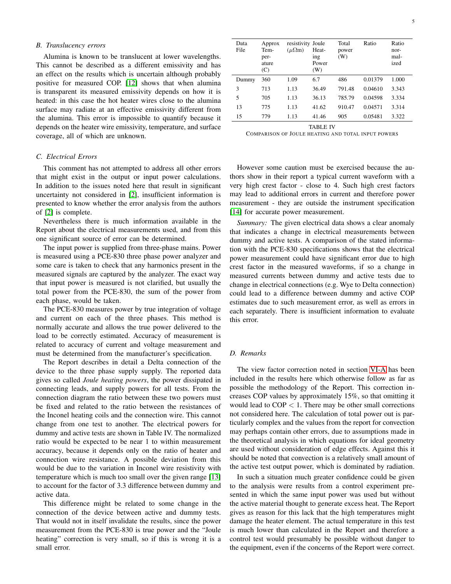## <span id="page-4-0"></span>*B. Translucency errors*

Alumina is known to be translucent at lower wavelengths. This cannot be described as a different emissivity and has an effect on the results which is uncertain although probably positive for measured COP. [\[12\]](#page-6-13) shows that when alumina is transparent its measured emissivity depends on how it is heated: in this case the hot heater wires close to the alumina surface may radiate at an effective emissivity different from the alumina. This error is impossible to quantify because it depends on the heater wire emissivity, temperature, and surface coverage, all of which are unknown.

### <span id="page-4-1"></span>*C. Electrical Errors*

This comment has not attempted to address all other errors that might exist in the output or input power calculations. In addition to the issues noted here that result in significant uncertainty not considered in [\[2\]](#page-6-0), insufficient information is presented to know whether the error analysis from the authors of [\[2\]](#page-6-0) is complete.

Nevertheless there is much information available in the Report about the electrical measurements used, and from this one significant source of error can be determined.

The input power is supplied from three-phase mains. Power is measured using a PCE-830 three phase power analyzer and some care is taken to check that any harmonics present in the measured signals are captured by the analyzer. The exact way that input power is measured is not clarified, but usually the total power from the PCE-830, the sum of the power from each phase, would be taken.

The PCE-830 measures power by true integration of voltage and current on each of the three phases. This method is normally accurate and allows the true power delivered to the load to be correctly estimated. Accuracy of measurement is related to accuracy of current and voltage measurement and must be determined from the manufacturer's specification.

The Report describes in detail a Delta connection of the device to the three phase supply supply. The reported data gives so called *Joule heating powers*, the power dissipated in connecting leads, and supply powers for all tests. From the connection diagram the ratio between these two powers must be fixed and related to the ratio between the resistances of the Inconel heating coils and the connection wire. This cannot change from one test to another. The electrical powers for dummy and active tests are shown in Table IV. The normalized ratio would be expected to be near 1 to within measurement accuracy, because it depends only on the ratio of heater and connection wire resistance. A possible deviation from this would be due to the variation in Inconel wire resistivity with temperature which is much too small over the given range [\[13\]](#page-6-14) to account for the factor of 3.3 difference between dummy and active data.

This difference might be related to some change in the connection of the device between active and dummy tests. That would not in itself invalidate the results, since the power measurement from the PCE-830 is true power and the "Joule heating" correction is very small, so if this is wrong it is a small error.

| Data<br>File | Approx<br>Tem-<br>per-<br>ature<br>(C) | resistivity Joule<br>$(\mu\Omega m)$ | Heat-<br>ing<br>Power<br>(W) | Total<br>power<br>(W) | Ratio   | Ratio<br>nor-<br>mal-<br>ized |
|--------------|----------------------------------------|--------------------------------------|------------------------------|-----------------------|---------|-------------------------------|
| Dummy        | 360                                    | 1.09                                 | 6.7                          | 486                   | 0.01379 | 1.000                         |
| 3            | 713                                    | 1.13                                 | 36.49                        | 791.48                | 0.04610 | 3.343                         |
| 5            | 705                                    | 1.13                                 | 36.13                        | 785.79                | 0.04598 | 3.334                         |
| 13           | 775                                    | 1.13                                 | 41.62                        | 910.47                | 0.04571 | 3.314                         |
| 15           | 779                                    | 1.13                                 | 41.46                        | 905                   | 0.05481 | 3.322                         |

TABLE IV

COMPARISON OF JOULE HEATING AND TOTAL INPUT POWERS

However some caution must be exercised because the authors show in their report a typical current waveform with a very high crest factor - close to 4. Such high crest factors may lead to additional errors in current and therefore power measurement - they are outside the instrument specification [\[14\]](#page-6-15) for accurate power measurement.

*Summary:* The given electrical data shows a clear anomaly that indicates a change in electrical measurements between dummy and active tests. A comparison of the stated information with the PCE-830 specifications shows that the electrical power measurement could have significant error due to high crest factor in the measured waveforms, if so a change in measured currents between dummy and active tests due to change in electrical connections (e.g. Wye to Delta connection) could lead to a difference between dummy and active COP estimates due to such measurement error, as well as errors in each separately. There is insufficient information to evaluate this error.

# <span id="page-4-2"></span>*D. Remarks*

The view factor correction noted in section [VI-A](#page-3-2) has been included in the results here which otherwise follow as far as possible the methodology of the Report. This correction increases COP values by approximately 15%, so that omitting it would lead to  $COP < 1$ . There may be other small corrections not considered here. The calculation of total power out is particularly complex and the values from the report for convection may perhaps contain other errors, due to assumptions made in the theoretical analysis in which equations for ideal geometry are used without consideration of edge effects. Against this it should be noted that convection is a relatively small amount of the active test output power, which is dominated by radiation.

In such a situation much greater confidence could be given to the analysis were results from a control experiment presented in which the same input power was used but without the active material thought to generate excess heat. The Report gives as reason for this lack that the high temperatures might damage the heater element. The actual temperature in this test is much lower than calculated in the Report and therefore a control test would presumably be possible without danger to the equipment, even if the concerns of the Report were correct.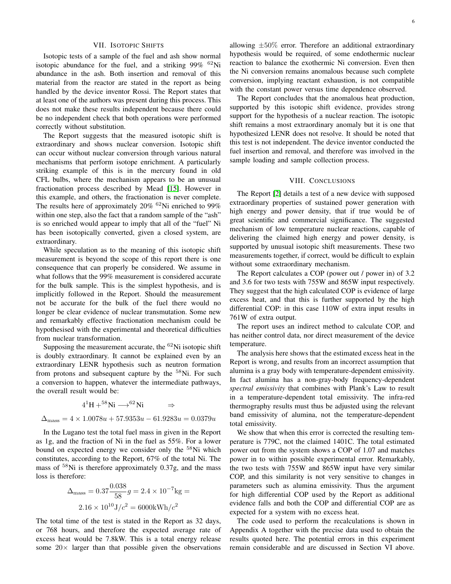#### VII. ISOTOPIC SHIFTS

<span id="page-5-0"></span>Isotopic tests of a sample of the fuel and ash show normal isotopic abundance for the fuel, and a striking  $99\%$  <sup>62</sup>Ni abundance in the ash. Both insertion and removal of this material from the reactor are stated in the report as being handled by the device inventor Rossi. The Report states that at least one of the authors was present during this process. This does not make these results independent because there could be no independent check that both operations were performed correctly without substitution.

The Report suggests that the measured isotopic shift is extraordinary and shows nuclear conversion. Isotopic shift can occur without nuclear conversion through various natural mechanisms that perform isotope enrichment. A particularly striking example of this is in the mercury found in old CFL bulbs, where the mechanism appears to be an unusual fractionation process described by Mead [\[15\]](#page-6-16). However in this example, and others, the fractionation is never complete. The results here of approximately  $20\%$  <sup>62</sup>Ni enriched to 99% within one step, also the fact that a random sample of the "ash" is so enriched would appear to imply that all of the "fuel" Ni has been isotopically converted, given a closed system, are extraordinary.

While speculation as to the meaning of this isotopic shift measurement is beyond the scope of this report there is one consequence that can properly be considered. We assume in what follows that the 99% measurement is considered accurate for the bulk sample. This is the simplest hypothesis, and is implicitly followed in the Report. Should the measurement not be accurate for the bulk of the fuel there would no longer be clear evidence of nuclear transmutation. Some new and remarkably effective fractionation mechanism could be hypothesised with the experimental and theoretical difficulties from nuclear transformation.

Supposing the measurement accurate, the  $62$ Ni isotopic shift is doubly extraordinary. It cannot be explained even by an extraordinary LENR hypothesis such as neutron formation from protons and subsequent capture by the <sup>58</sup>Ni. For such a conversion to happen, whatever the intermediate pathways, the overall result would be:

$$
41H + 58Ni \longrightarrow 62Ni
$$
  

$$
\Delta_{\text{mass}} = 4 \times 1.0078u + 57.9353u - 61.9283u = 0.0379u
$$

In the Lugano test the total fuel mass in given in the Report as 1g, and the fraction of Ni in the fuel as 55%. For a lower bound on expected energy we consider only the <sup>58</sup>Ni which constitutes, according to the Report, 67% of the total Ni. The mass of  $58$ Ni is therefore approximately 0.37g, and the mass loss is therefore:

$$
\Delta_{\rm mass} = 0.37 \frac{0.038}{58} g = 2.4 \times 10^{-7} \text{kg} = 2.16 \times 10^{10} \text{J}/c^2 = 6000 \text{kWh}/c^2
$$

The total time of the test is stated in the Report as 32 days, or 768 hours, and therefore the expected average rate of excess heat would be 7.8kW. This is a total energy release some  $20 \times$  larger than that possible given the observations

allowing  $\pm 50\%$  error. Therefore an additional extraordinary hypothesis would be required, of some endothermic nuclear reaction to balance the exothermic Ni conversion. Even then the Ni conversion remains anomalous because such complete conversion, implying reactant exhaustion, is not compatible with the constant power versus time dependence observed.

The Report concludes that the anomalous heat production, supported by this isotopic shift evidence, provides strong support for the hypothesis of a nuclear reaction. The isotopic shift remains a most extraordinary anomaly but it is one that hypothesized LENR does not resolve. It should be noted that this test is not independent. The device inventor conducted the fuel insertion and removal, and therefore was involved in the sample loading and sample collection process.

#### VIII. CONCLUSIONS

<span id="page-5-1"></span>The Report [\[2\]](#page-6-0) details a test of a new device with supposed extraordinary properties of sustained power generation with high energy and power density, that if true would be of great scientific and commercial significance. The suggested mechanism of low temperature nuclear reactions, capable of delivering the claimed high energy and power density, is supported by unusual isotopic shift measurements. These two measurements together, if correct, would be difficult to explain without some extraordinary mechanism.

The Report calculates a COP (power out / power in) of 3.2 and 3.6 for two tests with 755W and 865W input respectively. They suggest that the high calculated COP is evidence of large excess heat, and that this is further supported by the high differential COP: in this case 110W of extra input results in 761W of extra output.

The report uses an indirect method to calculate COP, and has neither control data, nor direct measurement of the device temperature.

The analysis here shows that the estimated excess heat in the Report is wrong, and results from an incorrect assumption that alumina is a gray body with temperature-dependent emissivity. In fact alumina has a non-gray-body frequency-dependent *spectral emissivity* that combines with Plank's Law to result in a temperature-dependent total emissivity. The infra-red thermography results must thus be adjusted using the relevant band emissivity of alumina, not the temperature-dependent total emissivity.

We show that when this error is corrected the resulting temperature is 779C, not the claimed 1401C. The total estimated power out from the system shows a COP of 1.07 and matches power in to within possible experimental error. Remarkably, the two tests with 755W and 865W input have very similar COP, and this similarity is not very sensitive to changes in parameters such as alumina emissivity. Thus the argument for high differential COP used by the Report as additional evidence falls and both the COP and differential COP are as expected for a system with no excess heat.

The code used to perform the recalculations is shown in Appendix A together with the precise data used to obtain the results quoted here. The potential errors in this experiment remain considerable and are discussed in Section VI above.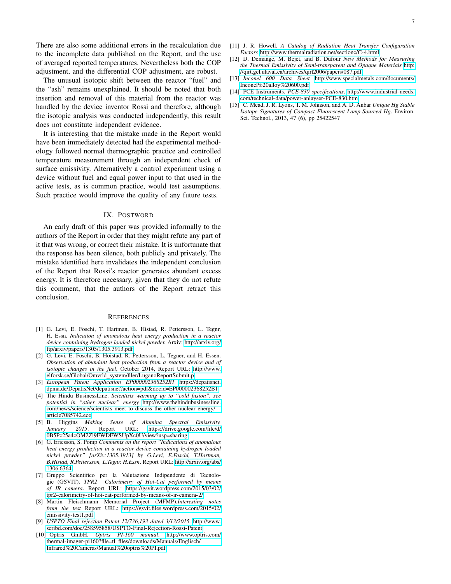There are also some additional errors in the recalculation due to the incomplete data published on the Report, and the use of averaged reported temperatures. Nevertheless both the COP adjustment, and the differential COP adjustment, are robust.

The unusual isotopic shift between the reactor "fuel" and the "ash" remains unexplained. It should be noted that both insertion and removal of this material from the reactor was handled by the device inventor Rossi and therefore, although the isotopic analysis was conducted independently, this result does not constitute independent evidence.

It is interesting that the mistake made in the Report would have been immediately detected had the experimental methodology followed normal thermographic practice and controlled temperature measurement through an independent check of surface emissivity. Alternatively a control experiment using a device without fuel and equal power input to that used in the active tests, as is common practice, would test assumptions. Such practice would improve the quality of any future tests.

## IX. POSTWORD

<span id="page-6-1"></span>An early draft of this paper was provided informally to the authors of the Report in order that they might refute any part of it that was wrong, or correct their mistake. It is unfortunate that the response has been silence, both publicly and privately. The mistake identified here invalidates the independent conclusion of the Report that Rossi's reactor generates abundant excess energy. It is therefore necessary, given that they do not refute this comment, that the authors of the Report retract this conclusion.

#### <span id="page-6-2"></span>**REFERENCES**

- <span id="page-6-3"></span>[1] G. Levi, E. Foschi, T. Hartman, B. Histad, R. Pettersson, L. Tegnr, H. Essn. *Indication of anomalous heat energy production in a reactor device containing hydrogen loaded nickel powder.* Arxiv: [http://arxiv.org/](http://arxiv.org/ftp/arxiv/papers/1305/1305.3913.pdf) [ftp/arxiv/papers/1305/1305.3913.pdf](http://arxiv.org/ftp/arxiv/papers/1305/1305.3913.pdf)
- <span id="page-6-0"></span>[2] G. Levi, E. Foschi, B. Hoistad, R. Pettersson, L. Tegner, and H. Essen. *Observation of abundant heat production from a reactor device and of isotopic changes in the fuel*, October 2014, Report URL: [http://www.](http://www.elforsk.se/Global/Omvärld_system/filer/LuganoReportSubmit.p) elforsk.se/Global/Omvrld [system/filer/LuganoReportSubmit.p](http://www.elforsk.se/Global/Omvärld_system/filer/LuganoReportSubmit.p)
- <span id="page-6-4"></span>[3] *European Patent Application EP000002368252B1* [https://depatisnet.](https://depatisnet.dpma.de/DepatisNet/depatisnet?action=pdf&docid=EP000002368252B1) [dpma.de/DepatisNet/depatisnet?action=pdf&docid=EP000002368252B1](https://depatisnet.dpma.de/DepatisNet/depatisnet?action=pdf&docid=EP000002368252B1)
- <span id="page-6-5"></span>[4] The Hindu BusinessLine. *Scientists warming up to "cold fusion", see potential in "other nuclear" energy* [http://www.thehindubusinessline.](http://www.thehindubusinessline.com/news/science/scientists-meet-to-discuss-the-other-nuclear-energy/article7085742.ece) [com/news/science/scientists-meet-to-discuss-the-other-nuclear-energy/](http://www.thehindubusinessline.com/news/science/scientists-meet-to-discuss-the-other-nuclear-energy/article7085742.ece) [article7085742.ece](http://www.thehindubusinessline.com/news/science/scientists-meet-to-discuss-the-other-nuclear-energy/article7085742.ece)
- <span id="page-6-7"></span>[5] B. Higgins *Making Sense of Alumina Spectral Emissivity. January 2015*. Report URL: [https://drive.google.com/file/d/](https://drive.google.com/file/d/0B5Pc25a4cOM2Zl9FWDFWSUpXc0U/view?usp=sharing) [0B5Pc25a4cOM2Zl9FWDFWSUpXc0U/view?usp=sharing](https://drive.google.com/file/d/0B5Pc25a4cOM2Zl9FWDFWSUpXc0U/view?usp=sharing)
- <span id="page-6-6"></span>[6] G. Ericsson, S. Pomp *Comments on the report "Indications of anomalous heat energy production in a reactor device containing hydrogen loaded nickel powder" [arXiv:1305.3913] by G.Levi, E.Foschi, T.Hartman, B.Histad, R.Pettersson, L.Tegnr, H.Essn*. Report URL: [http://arxiv.org/abs/](http://arxiv.org/abs/1306.6364) [1306.6364](http://arxiv.org/abs/1306.6364)
- <span id="page-6-8"></span>[7] Gruppo Scientifico per la Valutazione Indipendente di Tecnologie (GSVIT). *TPR2 Calorimetry of Hot-Cat performed by means of IR camera*. Report URL: [https://gsvit.wordpress.com/2015/03/02/](https://gsvit.wordpress.com/2015/03/02/tpr2-calorimetry-of-hot-cat-performed-by-means-of-ir-camera-2/) [tpr2-calorimetry-of-hot-cat-performed-by-means-of-ir-camera-2/](https://gsvit.wordpress.com/2015/03/02/tpr2-calorimetry-of-hot-cat-performed-by-means-of-ir-camera-2/)
- <span id="page-6-9"></span>[8] Martin Fleischmann Memorial Project (MFMP).*Interesting notes from the test* Report URL: [https://gsvit.files.wordpress.com/2015/02/](https://gsvit.files.wordpress.com/2015/02/emissivity-test1.pdf) [emissivity-test1.pdf](https://gsvit.files.wordpress.com/2015/02/emissivity-test1.pdf)
- <span id="page-6-10"></span>[9] *USPTO Final rejection Patent 12/736,193 dated 3/13/2015*. [http://www.](http://www.scribd.com/doc/258595858/USPTO-Final-Rejection-Rossi-Patent) [scribd.com/doc/258595858/USPTO-Final-Rejection-Rossi-Patent](http://www.scribd.com/doc/258595858/USPTO-Final-Rejection-Rossi-Patent)
- <span id="page-6-11"></span>[10] Optris GmbH. *Optris PI-160 manual*. [http://www.optris.com/](http://www.optris.com/thermal-imager-pi160?file=tl_files/downloads/Manuals/Englisch/Infrared%20Cameras/Manual%20optris%20PI.pdf) thermal-imager-pi160?file=tl\_[files/downloads/Manuals/Englisch/](http://www.optris.com/thermal-imager-pi160?file=tl_files/downloads/Manuals/Englisch/Infrared%20Cameras/Manual%20optris%20PI.pdf) [Infrared%20Cameras/Manual%20optris%20PI.pdf](http://www.optris.com/thermal-imager-pi160?file=tl_files/downloads/Manuals/Englisch/Infrared%20Cameras/Manual%20optris%20PI.pdf)
- <span id="page-6-12"></span>[11] J. R. Howell. *A Catalog of Radiation Heat Transfer Configuration Factors* <http://www.thermalradiation.net/sectionc/C-4.html>
- <span id="page-6-13"></span>[12] D. Demange, M. Bejet, and B. Dufour *New Methods for Measuring the Thermal Emissivity of Semi-transparent and Opaque Materials* [http:](http://qirt.gel.ulaval.ca/archives/qirt2006/papers/087.pdf) [//qirt.gel.ulaval.ca/archives/qirt2006/papers/087.pdf](http://qirt.gel.ulaval.ca/archives/qirt2006/papers/087.pdf)
- <span id="page-6-14"></span>[13] *Inconel 600 Data Sheet* [http://www.specialmetals.com/documents/](http://www.specialmetals.com/documents/Inconel%20alloy%20600.pdf) [Inconel%20alloy%20600.pdf](http://www.specialmetals.com/documents/Inconel%20alloy%20600.pdf)
- <span id="page-6-15"></span>[14] PCE Instruments. *PCE-830 specifications*. [http://www.industrial-needs.](http://www.industrial-needs.com/technical-data/power-anlayser-PCE-830.htm) [com/technical-data/power-anlayser-PCE-830.htm](http://www.industrial-needs.com/technical-data/power-anlayser-PCE-830.htm)
- <span id="page-6-16"></span>[15] C. Mead, J. R. Lyons, T. M. Johnson, and A. D. Anbar *Unique Hg Stable Isotope Signatures of Compact Fluorescent Lamp-Sourced Hg*. Environ. Sci. Technol., 2013, 47 (6), pp 25422547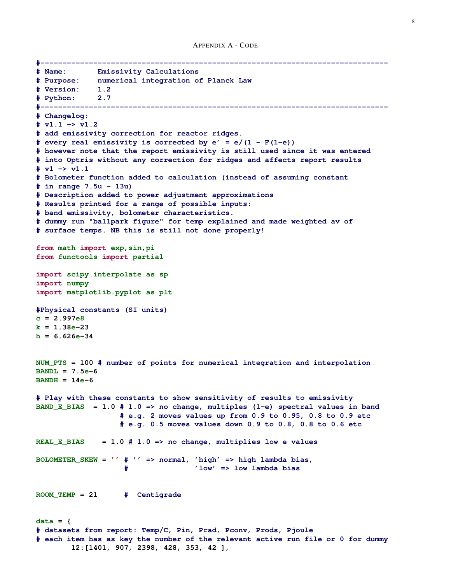```
#-------------------------------------------------------------------------------
# Name: Emissivity Calculations
# Purpose: numerical integration of Planck Law
# Version: 1.2
# Python: 2.7
#-------------------------------------------------------------------------------
# Changelog:
# v1.1 -> v1.2
# add emissivity correction for reactor ridges.
# every real emissivity is corrected by e' = e/(1 - F(1-e))# however note that the report emissivity is still used since it was entered
# into Optris without any correction for ridges and affects report results
# v1 -> v1.1
# Bolometer function added to calculation (instead of assuming constant
# in range 7.5u - 13u)
# Description added to power adjustment approximations
# Results printed for a range of possible inputs:
# band emissivity, bolometer characteristics.
# dummy run "ballpark figure" for temp explained and made weighted av of
# surface temps. NB this is still not done properly!
from math import exp,sin,pi
from functools import partial
import scipy.interpolate as sp
import numpy
import matplotlib.pyplot as plt
#Physical constants (SI units)
c = 2.997e8
k = 1.38e-23
h = 6.626e - 34NUM_PTS = 100 # number of points for numerical integration and interpolation
BANDL = 7.5e-6
BANDH = 14e-6
# Play with these constants to show sensitivity of results to emissivity
BAND_E_BIAS = 1.0 # 1.0 => no change, multiples (1-e) spectral values in band
                   # e.g. 2 moves values up from 0.9 to 0.95, 0.8 to 0.9 etc
                   # e.g. 0.5 moves values down 0.9 to 0.8, 0.8 to 0.6 etc
REAL_E_BIAS = 1.0 # 1.0 => no change, multiplies low e values
BOLOMETER_SKEW = '' # '' => normal, 'high' => high lambda bias,
                    # 'low' => low lambda bias
ROOM_TEMP = 21 # Centigrade
data = {
# datasets from report: Temp/C, Pin, Prad, Pconv, Prods, Pjoule
# each item has as key the number of the relevant active run file or 0 for dummy
        12:[1401, 907, 2398, 428, 353, 42 ],
```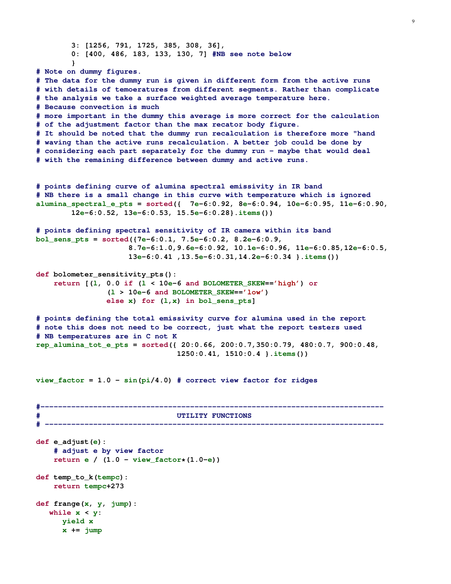```
3: [1256, 791, 1725, 385, 308, 36],
        0: [400, 486, 183, 133, 130, 7] #NB see note below
        }
# Note on dummy figures.
# The data for the dummy run is given in different form from the active runs
# with details of temoeratures from different segments. Rather than complicate
# the analysis we take a surface weighted average temperature here.
# Because convection is much
# more important in the dummy this average is more correct for the calculation
# of the adjustment factor than the max recator body figure.
# It should be noted that the dummy run recalculation is therefore more "hand
# waving than the active runs recalculation. A better job could be done by
# considering each part separately for the dummy run - maybe that would deal
# with the remaining difference between dummy and active runs.
# points defining curve of alumina spectral emissivity in IR band
# NB there is a small change in this curve with temperature which is ignored
alumina_spectral_e_pts = sorted({ 7e-6:0.92, 8e-6:0.94, 10e-6:0.95, 11e-6:0.90,
        12e-6:0.52, 13e-6:0.53, 15.5e-6:0.28}.items())
# points defining spectral sensitivity of IR camera within its band
bol_sens_pts = sorted({7e-6:0.1, 7.5e-6:0.2, 8.2e-6:0.9,
                     8.7e-6:1.0,9.6e-6:0.92, 10.1e-6:0.96, 11e-6:0.85,12e-6:0.5,
                     13e-6:0.41 ,13.5e-6:0.31,14.2e-6:0.34 }.items())
def bolometer_sensitivity_pts():
    return [(l, 0.0 if (l < 10e-6 and BOLOMETER_SKEW=='high') or
                (l > 10e-6 and BOLOMETER_SKEW=='low')
                else x) for (l,x) in bol_sens_pts]
# points defining the total emissivity curve for alumina used in the report
# note this does not need to be correct, just what the report testers used
# NB temperatures are in C not K
rep_alumina_tot_e_pts = sorted({ 20:0.66, 200:0.7,350:0.79, 480:0.7, 900:0.48,
                                 1250:0.41, 1510:0.4 }.items())
view_factor = 1.0 - sin(pi/4.0) # correct view factor for ridges
#------------------------------------------------------------------------------
                               # UTILITY FUNCTIONS
    # -----------------------------------------------------------------------------
def e_adjust(e):
    # adjust e by view factor
    return e / (1.0 - view_factor*(1.0-e))
def temp_to_k(tempc):
    return tempc+273
def frange(x, y, jump):
   while x < y:
      yield x
      x += jump
```
9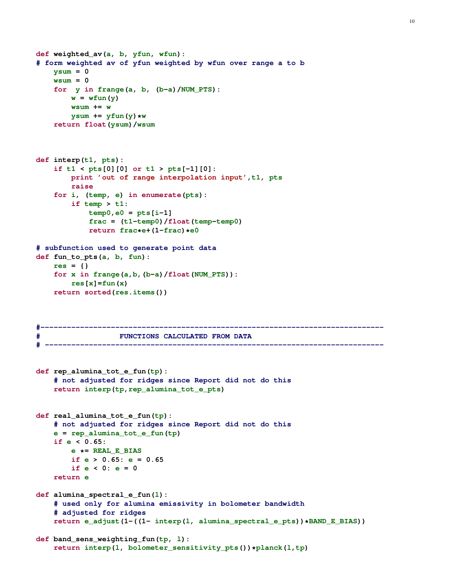```
def weighted_av(a, b, yfun, wfun):
# form weighted av of yfun weighted by wfun over range a to b
   ysum = 0
   wsum = 0
   for y in frange(a, b, (b-a)/NUM_PTS):
       w = wfun(y)wsum += w
       ysum += yfun(y) *wreturn float(ysum)/wsum
def interp(t1, pts):
    if t1 < pts[0][0] or t1 > pts[-1][0]:
        print 'out of range interpolation input',t1, pts
        raise
    for i, (temp, e) in enumerate(pts):
        if temp > t1:
           temp0, e0 = pts[i-1]frac = (t1-temp0)/float(temp-temp0)
           return frac*e+(1-frac)*e0
# subfunction used to generate point data
def fun_to_pts(a, b, fun):
   res = {}
    for x in frange(a,b,(b-a)/float(NUM_PTS)):
        res[x]=fun(x)
    return sorted(res.items())
#------------------------------------------------------------------------------
# FUNCTIONS CALCULATED FROM DATA
# -----------------------------------------------------------------------------
def rep_alumina_tot_e_fun(tp):
    # not adjusted for ridges since Report did not do this
    return interp(tp,rep_alumina_tot_e_pts)
def real_alumina_tot_e_fun(tp):
    # not adjusted for ridges since Report did not do this
   e = rep_alumina_tot_e_fun(tp)
   if e < 0.65:
        e *= REAL_E_BIAS
        if e > 0.65: e = 0.65
        if e < 0: e = 0
   return e
def alumina_spectral_e_fun(l):
    # used only for alumina emissivity in bolometer bandwidth
    # adjusted for ridges
    return e_adjust(1-((1- interp(l, alumina_spectral_e_pts))*BAND_E_BIAS))
def band_sens_weighting_fun(tp, l):
    return interp(l, bolometer_sensitivity_pts())*planck(l,tp)
```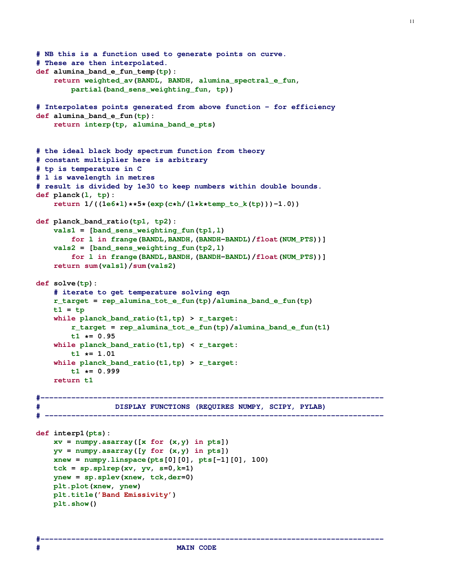```
# NB this is a function used to generate points on curve.
# These are then interpolated.
def alumina_band_e_fun_temp(tp):
    return weighted_av(BANDL, BANDH, alumina_spectral_e_fun,
        partial(band_sens_weighting_fun, tp))
# Interpolates points generated from above function - for efficiency
def alumina_band_e_fun(tp):
    return interp(tp, alumina_band_e_pts)
# the ideal black body spectrum function from theory
# constant multiplier here is arbitrary
# tp is temperature in C
# l is wavelength in metres
# result is divided by 1e30 to keep numbers within double bounds.
def planck(l, tp):
    return 1/((1e6*l)**5*(exp(c*h/(l*k*temp_to_k(tp)))-1.0))
def planck_band_ratio(tp1, tp2):
    vals1 = [band_sens_weighting_fun(tp1,l)
        for l in frange(BANDL,BANDH,(BANDH-BANDL)/float(NUM_PTS))]
    vals2 = [band_sens_weighting_fun(tp2,l)
        for l in frange(BANDL,BANDH,(BANDH-BANDL)/float(NUM_PTS))]
    return sum(vals1)/sum(vals2)
def solve(tp):
    # iterate to get temperature solving eqn
    r_target = rep_alumina_tot_e_fun(tp)/alumina_band_e_fun(tp)
   t1 = tp
    while planck_band_ratio(t1,tp) > r_target:
        r_target = rep_alumina_tot_e_fun(tp)/alumina_band_e_fun(t1)
        t1 *= 0.95
    while planck_band_ratio(t1,tp) < r_target:
        t1 *= 1.01
    while planck_band_ratio(t1,tp) > r_target:
       t1 *= 0.999
   return t1
#------------------------------------------------------------------------------
# DISPLAY FUNCTIONS (REQUIRES NUMPY, SCIPY, PYLAB)
# -----------------------------------------------------------------------------
def interp1(pts):
   xv = numpy.asarray([x for (x,y) in pts])
    yv = numpy.asarray([y for (x,y) in pts])
    xnew = numpy.linspace(pts[0][0], pts[-1][0], 100)
   tck = sp.splrep(xv, yv, s=0,k=1)
   ynew = sp.splev(xnew, tck,der=0)
   plt.plot(xnew, ynew)
   plt.title('Band Emissivity')
   plt.show()
```
**#------------------------------------------------------------------------------**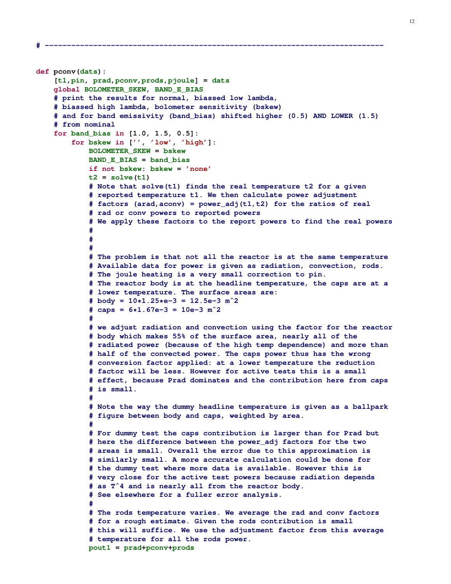```
def pconv(dats):
    [t1,pin, prad,pconv,prods,pjoule] = dats
    global BOLOMETER_SKEW, BAND_E_BIAS
    # print the results for normal, biassed low lambda,
    # biassed high lambda, bolometer sensitivity (bskew)
    # and for band emissivity (band_bias) shifted higher (0.5) AND LOWER (1.5)
    # from nominal
    for band_bias in [1.0, 1.5, 0.5]:
        for bskew in ['', 'low', 'high']:
            BOLOMETER_SKEW = bskew
            BAND_E_BIAS = band_bias
            if not bskew: bskew = 'none'
            t2 = \text{solve}(t1)# Note that solve(t1) finds the real temperature t2 for a given
            # reported temperature t1. We then calculate power adjustment
            # factors (arad,aconv) = power_adj(t1,t2) for the ratios of real
            # rad or conv powers to reported powers
            # We apply these factors to the report powers to find the real powers
            #
            #
            #
            # The problem is that not all the reactor is at the same temperature
            # Available data for power is given as radiation, convection, rods.
            # The joule heating is a very small correction to pin.
            # The reactor body is at the headline temperature, the caps are at a
            # lower temperature. The surface areas are:
            # body = 10*1.25*e-3 = 12.5e-3 mˆ2
            # caps = 6*1.67e-3 = 10e-3 mˆ2
            #
            # we adjust radiation and convection using the factor for the reactor
            # body which makes 55% of the surface area, nearly all of the
            # radiated power (because of the high temp dependence) and more than
            # half of the convected power. The caps power thus has the wrong
            # conversion factor applied: at a lower temperature the reduction
            # factor will be less. However for active tests this is a small
            # effect, because Prad dominates and the contribution here from caps
            # is small.
            #
            # Note the way the dummy headline temperature is given as a ballpark
            # figure between body and caps, weighted by area.
            #
            # For dummy test the caps contribution is larger than for Prad but
            # here the difference between the power_adj factors for the two
            # areas is small. Overall the error due to this approximation is
            # similarly small. A more accurate calculation could be done for
            # the dummy test where more data is available. However this is
            # very close for the active test powers because radiation depends
            # as Tˆ4 and is nearly all from the reactor body.
            # See elsewhere for a fuller error analysis.
            #
            # The rods temperature varies. We average the rad and conv factors
            # for a rough estimate. Given the rods contribution is small
            # this will suffice. We use the adjustment factor from this average
            # temperature for all the rods power.
            pout1 = prad+pconv+prods
```
**# -----------------------------------------------------------------------------**